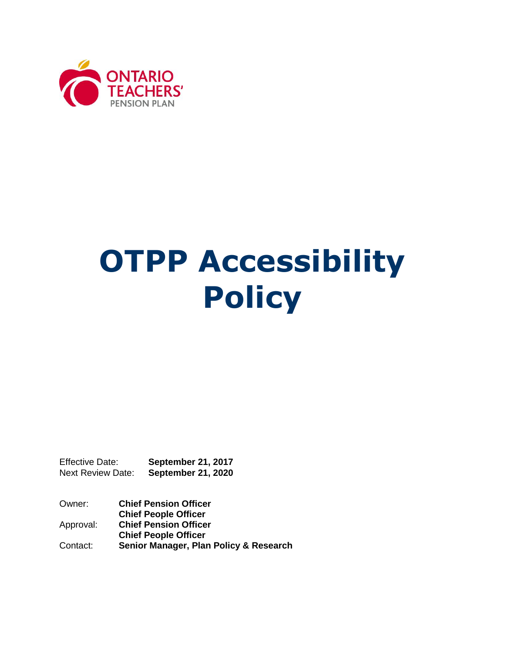

# **OTPP Accessibility Policy**

Effective Date: **September 21, 2017** Next Review Date: **September 21, 2020**

Owner: **Chief Pension Officer Chief People Officer**  Approval: **Chief Pension Officer Chief People Officer**  Contact: **Senior Manager, Plan Policy & Research**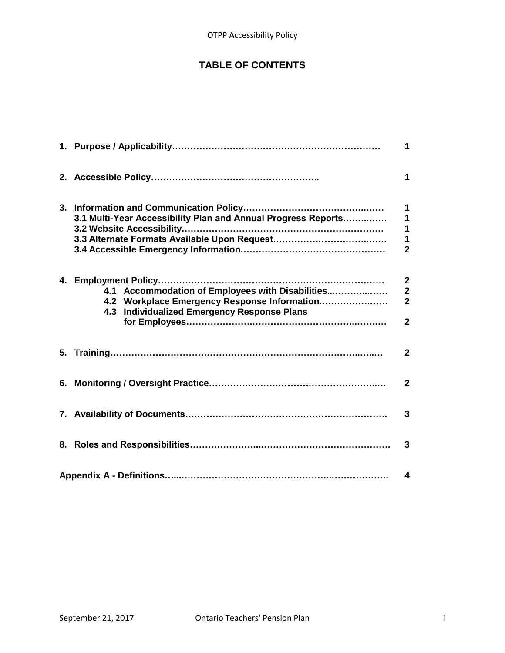## **TABLE OF CONTENTS**

|                                                                                                                                                 | 1                                                                            |
|-------------------------------------------------------------------------------------------------------------------------------------------------|------------------------------------------------------------------------------|
|                                                                                                                                                 | 1                                                                            |
| 3.1 Multi-Year Accessibility Plan and Annual Progress Reports                                                                                   | $\mathbf 1$<br>$\overline{\mathbf{1}}$<br>1<br>$\mathbf 1$<br>$\overline{2}$ |
| 4.1 Accommodation of Employees with Disabilities<br>4.2 Workplace Emergency Response Information<br>4.3 Individualized Emergency Response Plans | $\mathbf{2}$<br>$\overline{\mathbf{2}}$<br>$\overline{2}$<br>$\overline{2}$  |
|                                                                                                                                                 | $\mathbf{2}$                                                                 |
|                                                                                                                                                 | $\mathbf{2}$                                                                 |
|                                                                                                                                                 | 3                                                                            |
|                                                                                                                                                 |                                                                              |
|                                                                                                                                                 | 4                                                                            |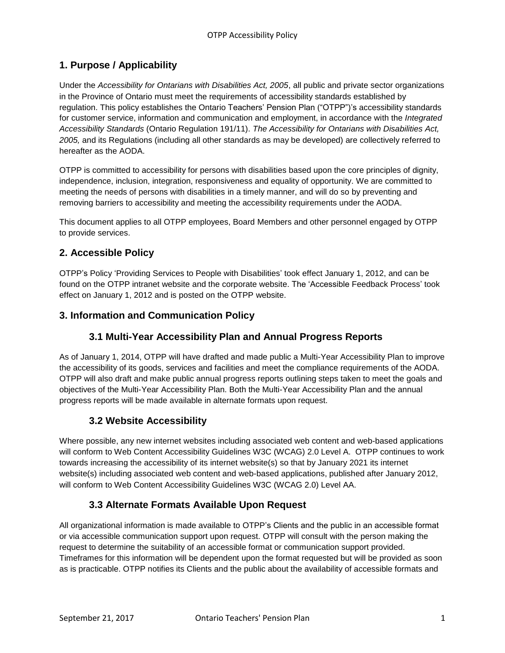## **1. Purpose / Applicability**

Under the *Accessibility for Ontarians with Disabilities Act, 2005*, all public and private sector organizations in the Province of Ontario must meet the requirements of accessibility standards established by regulation. This policy establishes the Ontario Teachers' Pension Plan ("OTPP")'s accessibility standards for customer service, information and communication and employment, in accordance with the *Integrated Accessibility Standards* (Ontario Regulation 191/11). *The Accessibility for Ontarians with Disabilities Act, 2005,* and its Regulations (including all other standards as may be developed) are collectively referred to hereafter as the AODA.

OTPP is committed to accessibility for persons with disabilities based upon the core principles of dignity, independence, inclusion, integration, responsiveness and equality of opportunity. We are committed to meeting the needs of persons with disabilities in a timely manner, and will do so by preventing and removing barriers to accessibility and meeting the accessibility requirements under the AODA.

This document applies to all OTPP employees, Board Members and other personnel engaged by OTPP to provide services.

## **2. Accessible Policy**

OTPP's Policy 'Providing Services to People with Disabilities' took effect January 1, 2012, and can be found on the OTPP intranet website and the corporate website. The 'Accessible Feedback Process' took effect on January 1, 2012 and is posted on the OTPP website.

#### **3. Information and Communication Policy**

## **3.1 Multi-Year Accessibility Plan and Annual Progress Reports**

As of January 1, 2014, OTPP will have drafted and made public a Multi-Year Accessibility Plan to improve the accessibility of its goods, services and facilities and meet the compliance requirements of the AODA. OTPP will also draft and make public annual progress reports outlining steps taken to meet the goals and objectives of the Multi-Year Accessibility Plan. Both the Multi-Year Accessibility Plan and the annual progress reports will be made available in alternate formats upon request.

## **3.2 Website Accessibility**

Where possible, any new internet websites including associated web content and web-based applications will conform to Web Content Accessibility Guidelines W3C (WCAG) 2.0 Level A. OTPP continues to work towards increasing the accessibility of its internet website(s) so that by January 2021 its internet website(s) including associated web content and web-based applications, published after January 2012, will conform to Web Content Accessibility Guidelines W3C (WCAG 2.0) Level AA.

## **3.3 Alternate Formats Available Upon Request**

All organizational information is made available to OTPP's Clients and the public in an accessible format or via accessible communication support upon request. OTPP will consult with the person making the request to determine the suitability of an accessible format or communication support provided. Timeframes for this information will be dependent upon the format requested but will be provided as soon as is practicable. OTPP notifies its Clients and the public about the availability of accessible formats and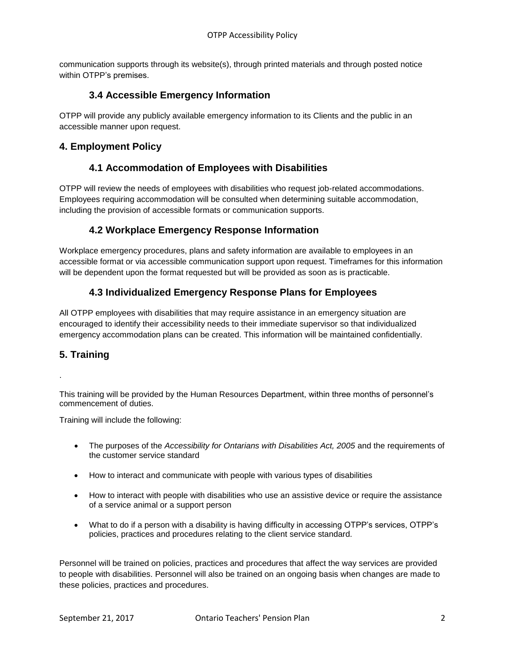communication supports through its website(s), through printed materials and through posted notice within OTPP's premises.

#### **3.4 Accessible Emergency Information**

OTPP will provide any publicly available emergency information to its Clients and the public in an accessible manner upon request.

#### **4. Employment Policy**

#### **4.1 Accommodation of Employees with Disabilities**

OTPP will review the needs of employees with disabilities who request job-related accommodations. Employees requiring accommodation will be consulted when determining suitable accommodation, including the provision of accessible formats or communication supports.

#### **4.2 Workplace Emergency Response Information**

Workplace emergency procedures, plans and safety information are available to employees in an accessible format or via accessible communication support upon request. Timeframes for this information will be dependent upon the format requested but will be provided as soon as is practicable.

## **4.3 Individualized Emergency Response Plans for Employees**

All OTPP employees with disabilities that may require assistance in an emergency situation are encouraged to identify their accessibility needs to their immediate supervisor so that individualized emergency accommodation plans can be created. This information will be maintained confidentially.

#### **5. Training**

.

This training will be provided by the Human Resources Department, within three months of personnel's commencement of duties.

Training will include the following:

- The purposes of the *Accessibility for Ontarians with Disabilities Act, 2005* and the requirements of the customer service standard
- How to interact and communicate with people with various types of disabilities
- How to interact with people with disabilities who use an assistive device or require the assistance of a service animal or a support person
- What to do if a person with a disability is having difficulty in accessing OTPP's services, OTPP's policies, practices and procedures relating to the client service standard.

Personnel will be trained on policies, practices and procedures that affect the way services are provided to people with disabilities. Personnel will also be trained on an ongoing basis when changes are made to these policies, practices and procedures.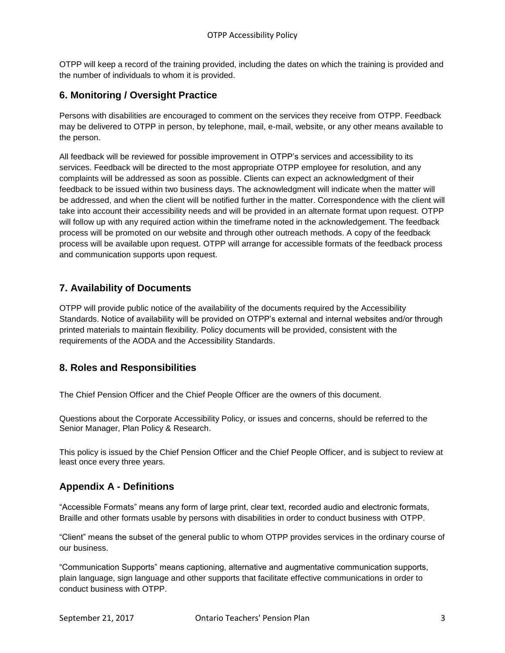OTPP will keep a record of the training provided, including the dates on which the training is provided and the number of individuals to whom it is provided.

### **6. Monitoring / Oversight Practice**

Persons with disabilities are encouraged to comment on the services they receive from OTPP. Feedback may be delivered to OTPP in person, by telephone, mail, e-mail, website, or any other means available to the person.

All feedback will be reviewed for possible improvement in OTPP's services and accessibility to its services. Feedback will be directed to the most appropriate OTPP employee for resolution, and any complaints will be addressed as soon as possible. Clients can expect an acknowledgment of their feedback to be issued within two business days. The acknowledgment will indicate when the matter will be addressed, and when the client will be notified further in the matter. Correspondence with the client will take into account their accessibility needs and will be provided in an alternate format upon request. OTPP will follow up with any required action within the timeframe noted in the acknowledgement. The feedback process will be promoted on our website and through other outreach methods. A copy of the feedback process will be available upon request. OTPP will arrange for accessible formats of the feedback process and communication supports upon request.

## **7. Availability of Documents**

OTPP will provide public notice of the availability of the documents required by the Accessibility Standards. Notice of availability will be provided on OTPP's external and internal websites and/or through printed materials to maintain flexibility. Policy documents will be provided, consistent with the requirements of the AODA and the Accessibility Standards.

## **8. Roles and Responsibilities**

The Chief Pension Officer and the Chief People Officer are the owners of this document.

Questions about the Corporate Accessibility Policy, or issues and concerns, should be referred to the Senior Manager, Plan Policy & Research.

This policy is issued by the Chief Pension Officer and the Chief People Officer, and is subject to review at least once every three years.

#### **Appendix A - Definitions**

"Accessible Formats" means any form of large print, clear text, recorded audio and electronic formats, Braille and other formats usable by persons with disabilities in order to conduct business with OTPP.

"Client" means the subset of the general public to whom OTPP provides services in the ordinary course of our business.

"Communication Supports" means captioning, alternative and augmentative communication supports, plain language, sign language and other supports that facilitate effective communications in order to conduct business with OTPP.